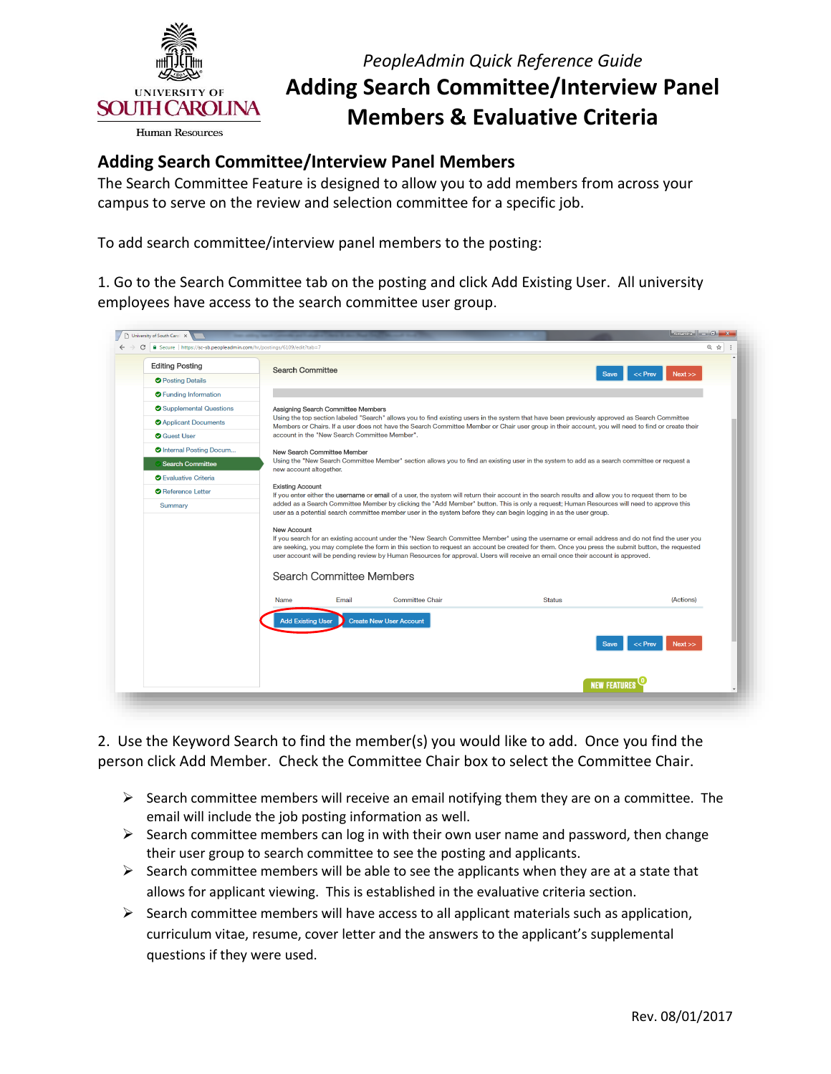

## *PeopleAdmin Quick Reference Guide*  **Adding Search Committee/Interview Panel Members & Evaluative Criteria**

## **Adding Search Committee/Interview Panel Members**

 The Search Committee Feature is designed to allow you to add members from across your campus to serve on the review and selection committee for a specific job.

To add search committee/interview panel members to the posting:

 1. Go to the Search Committee tab on the posting and click Add Existing User. All university employees have access to the search committee user group.

| <b>Editing Posting</b>          | Search Committee                                                                                                                                                                                                                                                |                                                                                                                                             |                                                                                                                                                                                                                                                                                                                                                                                                                                         |                   |  |  |
|---------------------------------|-----------------------------------------------------------------------------------------------------------------------------------------------------------------------------------------------------------------------------------------------------------------|---------------------------------------------------------------------------------------------------------------------------------------------|-----------------------------------------------------------------------------------------------------------------------------------------------------------------------------------------------------------------------------------------------------------------------------------------------------------------------------------------------------------------------------------------------------------------------------------------|-------------------|--|--|
| <b>O</b> Posting Details        |                                                                                                                                                                                                                                                                 |                                                                                                                                             | Save                                                                                                                                                                                                                                                                                                                                                                                                                                    | << Prev<br>Next   |  |  |
| <b>O</b> Funding Information    |                                                                                                                                                                                                                                                                 |                                                                                                                                             |                                                                                                                                                                                                                                                                                                                                                                                                                                         |                   |  |  |
| Supplemental Questions          | Assigning Search Committee Members                                                                                                                                                                                                                              |                                                                                                                                             |                                                                                                                                                                                                                                                                                                                                                                                                                                         |                   |  |  |
| <b>O</b> Applicant Documents    |                                                                                                                                                                                                                                                                 |                                                                                                                                             | Using the top section labeled "Search" allows you to find existing users in the system that have been previously approved as Search Committee<br>Members or Chairs. If a user does not have the Search Committee Member or Chair user group in their account, you will need to find or create their                                                                                                                                     |                   |  |  |
| <b>O</b> Guest User             | account in the "New Search Committee Member".                                                                                                                                                                                                                   |                                                                                                                                             |                                                                                                                                                                                                                                                                                                                                                                                                                                         |                   |  |  |
| <b>O</b> Internal Posting Docum |                                                                                                                                                                                                                                                                 | New Search Committee Member                                                                                                                 |                                                                                                                                                                                                                                                                                                                                                                                                                                         |                   |  |  |
| <b>Search Committee</b>         | new account altogether.                                                                                                                                                                                                                                         | Using the "New Search Committee Member" section allows you to find an existing user in the system to add as a search committee or request a |                                                                                                                                                                                                                                                                                                                                                                                                                                         |                   |  |  |
| <b>O</b> Evaluative Criteria    |                                                                                                                                                                                                                                                                 |                                                                                                                                             |                                                                                                                                                                                                                                                                                                                                                                                                                                         |                   |  |  |
| Reference Letter                | <b>Existing Account</b>                                                                                                                                                                                                                                         |                                                                                                                                             | If you enter either the username or email of a user, the system will return their account in the search results and allow you to request them to be                                                                                                                                                                                                                                                                                     |                   |  |  |
| Summary                         | added as a Search Committee Member by clicking the "Add Member" button. This is only a request; Human Resources will need to approve this<br>user as a potential search committee member user in the system before they can begin logging in as the user group. |                                                                                                                                             |                                                                                                                                                                                                                                                                                                                                                                                                                                         |                   |  |  |
|                                 | <b>New Account</b><br>Search Committee Members                                                                                                                                                                                                                  |                                                                                                                                             | If you search for an existing account under the "New Search Committee Member" using the username or email address and do not find the user you<br>are seeking, you may complete the form in this section to request an account be created for them. Once you press the submit button, the requested<br>user account will be pending review by Human Resources for approval. Users will receive an email once their account is approved. |                   |  |  |
|                                 | Name<br>Email                                                                                                                                                                                                                                                   | <b>Committee Chair</b>                                                                                                                      | <b>Status</b>                                                                                                                                                                                                                                                                                                                                                                                                                           | (Actions)         |  |  |
|                                 | <b>Add Existing User</b>                                                                                                                                                                                                                                        | <b>Create New User Account</b>                                                                                                              | <b>Save</b>                                                                                                                                                                                                                                                                                                                                                                                                                             | $<<$ Prev<br>Next |  |  |
|                                 |                                                                                                                                                                                                                                                                 |                                                                                                                                             |                                                                                                                                                                                                                                                                                                                                                                                                                                         |                   |  |  |

 2. Use the Keyword Search to find the member(s) you would like to add. Once you find the person click Add Member. Check the Committee Chair box to select the Committee Chair.

- $\triangleright$  Search committee members will receive an email notifying them they are on a committee. The email will include the job posting information as well.
- $\triangleright$  Search committee members can log in with their own user name and password, then change their user group to search committee to see the posting and applicants.
- $\triangleright$  Search committee members will be able to see the applicants when they are at a state that allows for applicant viewing. This is established in the evaluative criteria section.
- curriculum vitae, resume, cover letter and the answers to the applicant's supplemental  $\triangleright$  Search committee members will have access to all applicant materials such as application, questions if they were used.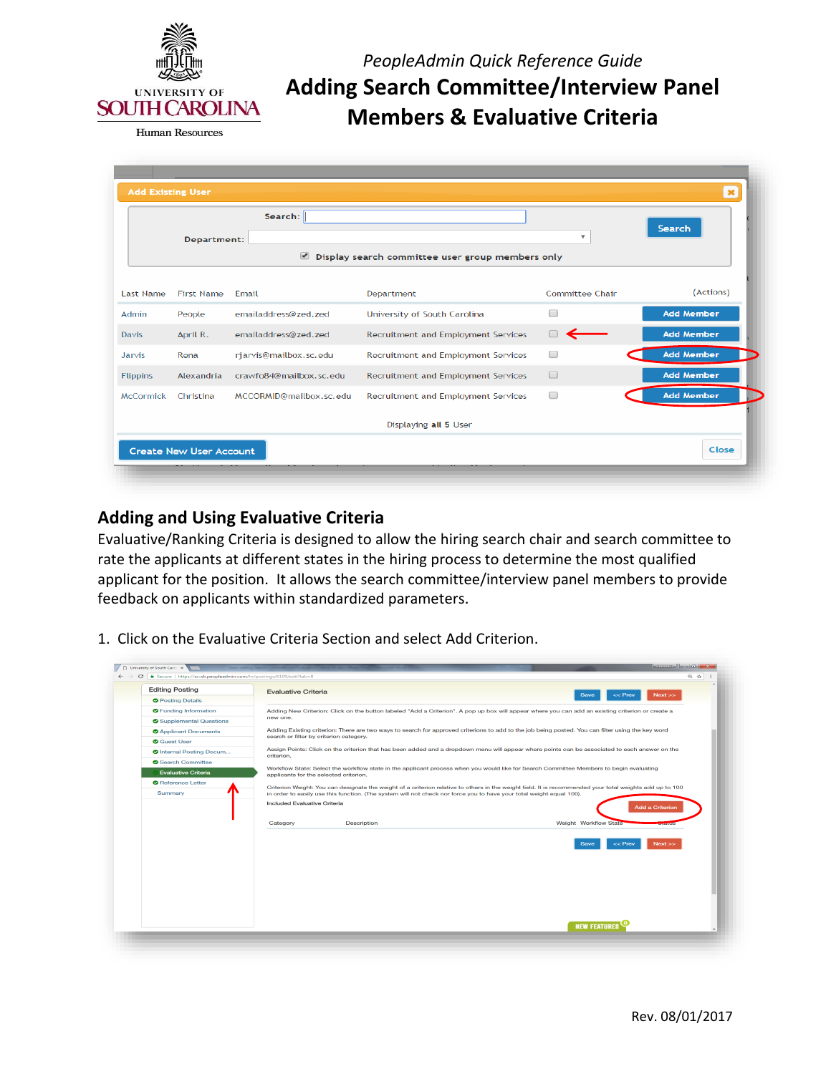

*PeopleAdmin Quick Reference Guide*  **Adding Search Committee/Interview Panel Members & Evaluative Criteria** 

|                                                                           | Department:       | Search:                 |                                     | $\overline{\mathbf{v}}$ | Search            |  |
|---------------------------------------------------------------------------|-------------------|-------------------------|-------------------------------------|-------------------------|-------------------|--|
| $\blacktriangleright$<br>Display search committee user group members only |                   |                         |                                     |                         |                   |  |
| <b>Last Name</b>                                                          | <b>First Name</b> | Email                   | Department                          | Committee Chair         | (Actions)         |  |
| Admin                                                                     | People            | emailaddress@zed.zed    | University of South Carolina        | □                       | <b>Add Member</b> |  |
| Davis                                                                     | April R.          | emailaddress@zed.zed    | Recruitment and Employment Services |                         | <b>Add Member</b> |  |
| Jarvis                                                                    | Rena              | rjarvis@mailbox.sc.edu  | Recruitment and Employment Services | $\Box$                  | <b>Add Member</b> |  |
| <b>Flippins</b>                                                           | Alexandria        | crawfo84@mailbox.sc.edu | Recruitment and Employment Services | $\Box$                  | <b>Add Member</b> |  |
| <b>McCormick</b>                                                          | Christina         | MCCORMID@mailbox.sc.edu | Recruitment and Employment Services | $\Box$                  | <b>Add Member</b> |  |
|                                                                           |                   |                         | Displaying all 5 User               |                         |                   |  |

## **Adding and Using Evaluative Criteria**

 Evaluative/Ranking Criteria is designed to allow the hiring search chair and search committee to rate the applicants at different states in the hiring process to determine the most qualified applicant for the position. It allows the search committee/interview panel members to provide feedback on applicants within standardized parameters.

1. Click on the Evaluative Criteria Section and select Add Criterion.

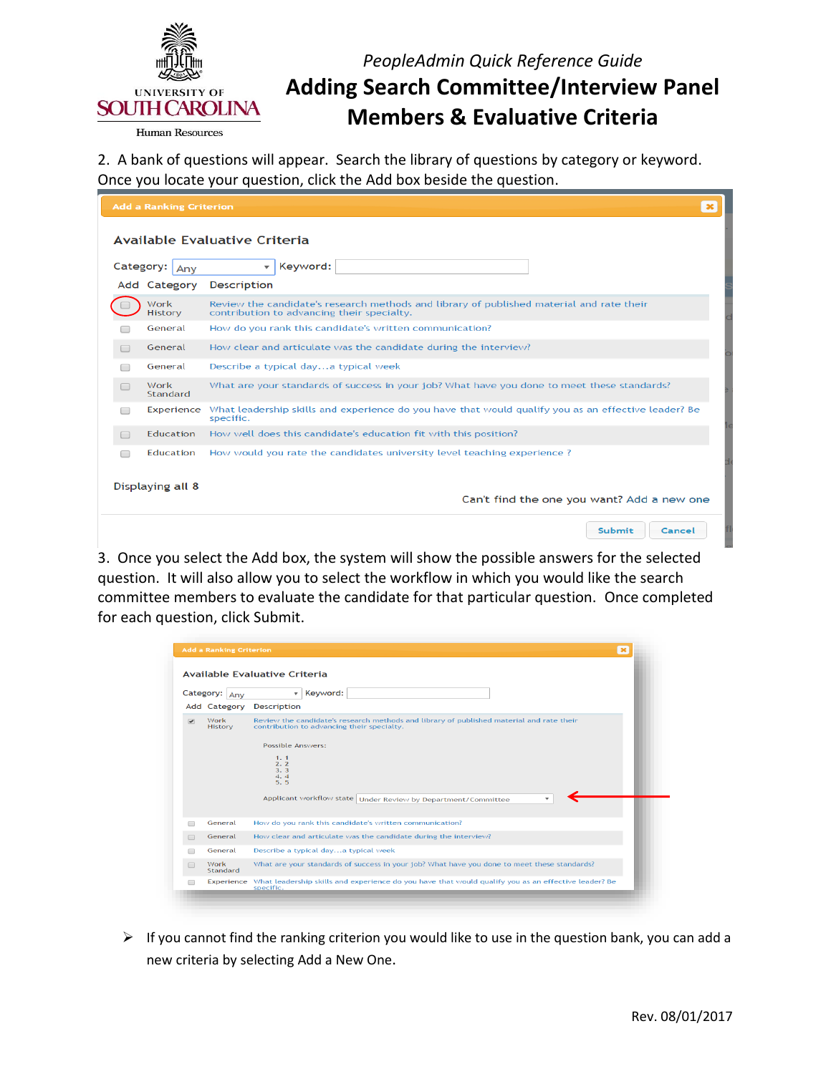

## *PeopleAdmin Quick Reference Guide*  **Adding Search Committee/Interview Panel Members & Evaluative Criteria**

**Human Resources** 

 2. A bank of questions will appear. Search the library of questions by category or keyword. Once you locate your question, click the Add box beside the question.

|                               | <b>Add a Ranking Criterion</b> |                                                                                                                                        | $\boldsymbol{\times}$ |  |  |  |
|-------------------------------|--------------------------------|----------------------------------------------------------------------------------------------------------------------------------------|-----------------------|--|--|--|
| Available Evaluative Criteria |                                |                                                                                                                                        |                       |  |  |  |
| Category:                     | Any                            | Keyword:<br>$\overline{\mathbf{v}}$                                                                                                    |                       |  |  |  |
|                               | Add Category                   | <b>Description</b>                                                                                                                     |                       |  |  |  |
|                               | Work<br><b>History</b>         | Review the candidate's research methods and library of published material and rate their<br>contribution to advancing their specialty. |                       |  |  |  |
|                               | General                        | How do you rank this candidate's written communication?                                                                                |                       |  |  |  |
|                               | General                        | How clear and articulate was the candidate during the interview?                                                                       |                       |  |  |  |
|                               | General                        | Describe a typical daya typical week                                                                                                   |                       |  |  |  |
| $\Box$                        | Work<br>Standard               | What are your standards of success in your job? What have you done to meet these standards?                                            |                       |  |  |  |
|                               | Experience                     | What leadership skills and experience do you have that would qualify you as an effective leader? Be<br>specific.                       |                       |  |  |  |
|                               | <b>Education</b>               | How well does this candidate's education fit with this position?                                                                       |                       |  |  |  |
| □                             | Education                      | How would you rate the candidates university level teaching experience?                                                                |                       |  |  |  |
|                               |                                |                                                                                                                                        |                       |  |  |  |
| Displaying all 8              |                                | Can't find the one you want? Add a new one                                                                                             |                       |  |  |  |
|                               |                                | <b>Submit</b><br>Cancel                                                                                                                |                       |  |  |  |

 3. Once you select the Add box, the system will show the possible answers for the selected question. It will also allow you to select the workflow in which you would like the search committee members to evaluate the candidate for that particular question. Once completed for each question, click Submit.

|                          | Category: Any          | v   Keyword:                                                                                                                                                                                                                                                             |
|--------------------------|------------------------|--------------------------------------------------------------------------------------------------------------------------------------------------------------------------------------------------------------------------------------------------------------------------|
|                          | Add Category           | <b>Description</b>                                                                                                                                                                                                                                                       |
| $\overline{\mathcal{L}}$ | Work<br><b>History</b> | Review the candidate's research methods and library of published material and rate their<br>contribution to advancing their specialty.<br><b>Possible Answers:</b><br>1.1<br>2.2<br>3.3<br>4.4<br>5.5<br>Applicant workflow state   Under Review by Department/Committee |
|                          | General                | How do you rank this candidate's written communication?                                                                                                                                                                                                                  |
|                          | General                | How clear and articulate was the candidate during the interview?                                                                                                                                                                                                         |
| □                        | General                | Describe a typical daya typical week                                                                                                                                                                                                                                     |
| $\Box$                   | Work<br>Standard       | What are your standards of success in your job? What have you done to meet these standards?                                                                                                                                                                              |
|                          |                        | Experience What leadership skills and experience do you have that would qualify you as an effective leader? Be<br>specific.                                                                                                                                              |

 $\triangleright$  If you cannot find the ranking criterion you would like to use in the question bank, you can add a new criteria by selecting Add a New One.